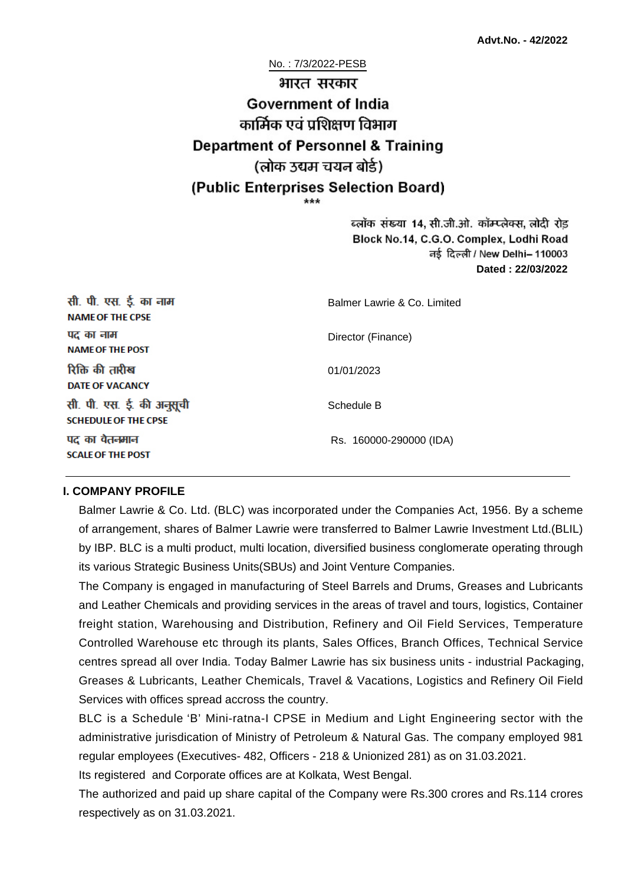# No. : 7/3/2022-PESB भारत सरकार **Government of India** कार्मिक एवं पशिक्षण विभाग **Department of Personnel & Training** (लोक उद्यम चयन बोर्ड) (Public Enterprises Selection Board)

ब्लॉक संख्या 14, सी.जी.ओ. कॉम्प्लेक्स, लोदी रोड Block No.14, C.G.O. Complex, Lodhi Road ਰई दिल्ली / New Delhi– 110003 **Dated : 22/03/2022**

| सी. पी. एस. ई. का नाम<br><b>NAME OF THE CPSE</b>         | Balmer Lawrie & Co. Limited |
|----------------------------------------------------------|-----------------------------|
| पद का नाम<br><b>NAME OF THE POST</b>                     | Director (Finance)          |
| रिक्ति की तारीख<br><b>DATE OF VACANCY</b>                | 01/01/2023                  |
| सी. पी. एस. ई. की अनुसूची<br><b>SCHEDULE OF THE CPSE</b> | Schedule B                  |
| पद का वेतनमान<br><b>SCALE OF THE POST</b>                | Rs. 160000-290000 (IDA)     |

#### **I. COMPANY PROFILE**

Balmer Lawrie & Co. Ltd. (BLC) was incorporated under the Companies Act, 1956. By a scheme of arrangement, shares of Balmer Lawrie were transferred to Balmer Lawrie Investment Ltd.(BLIL) by IBP. BLC is a multi product, multi location, diversified business conglomerate operating through its various Strategic Business Units(SBUs) and Joint Venture Companies.

The Company is engaged in manufacturing of Steel Barrels and Drums, Greases and Lubricants and Leather Chemicals and providing services in the areas of travel and tours, logistics, Container freight station, Warehousing and Distribution, Refinery and Oil Field Services, Temperature Controlled Warehouse etc through its plants, Sales Offices, Branch Offices, Technical Service centres spread all over India. Today Balmer Lawrie has six business units - industrial Packaging, Greases & Lubricants, Leather Chemicals, Travel & Vacations, Logistics and Refinery Oil Field Services with offices spread accross the country.

BLC is a Schedule 'B' Mini-ratna-I CPSE in Medium and Light Engineering sector with the administrative jurisdication of Ministry of Petroleum & Natural Gas. The company employed 981 regular employees (Executives- 482, Officers - 218 & Unionized 281) as on 31.03.2021.

Its registered and Corporate offices are at Kolkata, West Bengal.

The authorized and paid up share capital of the Company were Rs.300 crores and Rs.114 crores respectively as on 31.03.2021.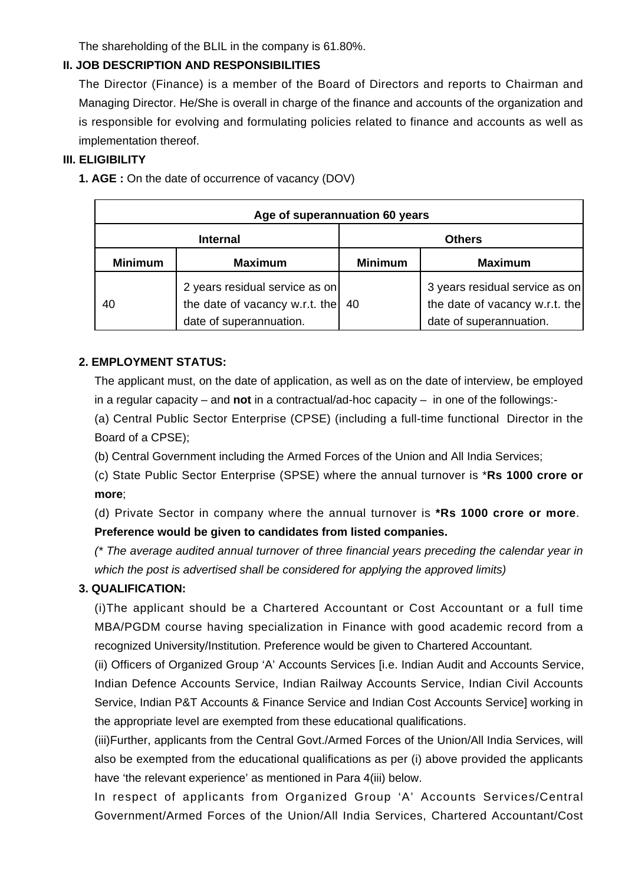The shareholding of the BLIL in the company is 61.80%.

### **II. JOB DESCRIPTION AND RESPONSIBILITIES**

The Director (Finance) is a member of the Board of Directors and reports to Chairman and Managing Director. He/She is overall in charge of the finance and accounts of the organization and is responsible for evolving and formulating policies related to finance and accounts as well as implementation thereof.

### **III. ELIGIBILITY**

**1. AGE :** On the date of occurrence of vacancy (DOV)

| Age of superannuation 60 years |                                                                                                        |                |                                                                                             |
|--------------------------------|--------------------------------------------------------------------------------------------------------|----------------|---------------------------------------------------------------------------------------------|
| <b>Internal</b>                |                                                                                                        | <b>Others</b>  |                                                                                             |
| <b>Minimum</b>                 | <b>Maximum</b>                                                                                         | <b>Minimum</b> | <b>Maximum</b>                                                                              |
| 40                             | 2 years residual service as on<br>the date of vacancy w.r.t. the $\vert$ 40<br>date of superannuation. |                | 3 years residual service as on<br>the date of vacancy w.r.t. the<br>date of superannuation. |

### **2. EMPLOYMENT STATUS:**

The applicant must, on the date of application, as well as on the date of interview, be employed in a regular capacity – and **not** in a contractual/ad-hoc capacity – in one of the followings:-

(a) Central Public Sector Enterprise (CPSE) (including a full-time functional Director in the Board of a CPSE);

(b) Central Government including the Armed Forces of the Union and All India Services;

(c) State Public Sector Enterprise (SPSE) where the annual turnover is \***Rs 1000 crore or more**;

(d) Private Sector in company where the annual turnover is **\*Rs 1000 crore or more**. **Preference would be given to candidates from listed companies.**

(\* The average audited annual turnover of three financial years preceding the calendar year in which the post is advertised shall be considered for applying the approved limits)

### **3. QUALIFICATION:**

(i)The applicant should be a Chartered Accountant or Cost Accountant or a full time MBA/PGDM course having specialization in Finance with good academic record from a recognized University/Institution. Preference would be given to Chartered Accountant.

(ii) Officers of Organized Group 'A' Accounts Services [i.e. Indian Audit and Accounts Service, Indian Defence Accounts Service, Indian Railway Accounts Service, Indian Civil Accounts Service, Indian P&T Accounts & Finance Service and Indian Cost Accounts Service] working in the appropriate level are exempted from these educational qualifications.

(iii)Further, applicants from the Central Govt./Armed Forces of the Union/All India Services, will also be exempted from the educational qualifications as per (i) above provided the applicants have 'the relevant experience' as mentioned in Para 4(iii) below.

In respect of applicants from Organized Group 'A' Accounts Services/Central Government/Armed Forces of the Union/All India Services, Chartered Accountant/Cost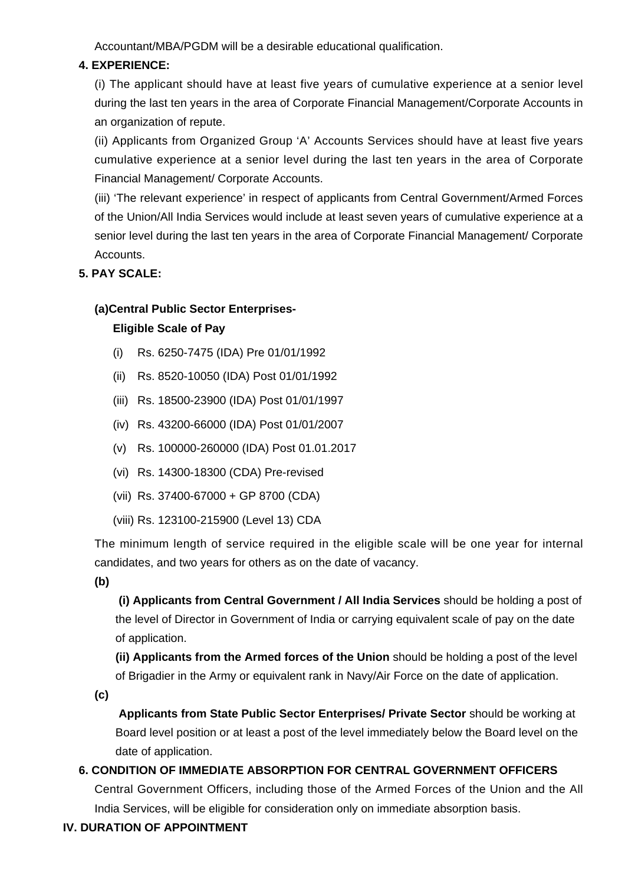Accountant/MBA/PGDM will be a desirable educational qualification.

### **4. EXPERIENCE:**

(i) The applicant should have at least five years of cumulative experience at a senior level during the last ten years in the area of Corporate Financial Management/Corporate Accounts in an organization of repute.

(ii) Applicants from Organized Group 'A' Accounts Services should have at least five years cumulative experience at a senior level during the last ten years in the area of Corporate Financial Management/ Corporate Accounts.

(iii) 'The relevant experience' in respect of applicants from Central Government/Armed Forces of the Union/All India Services would include at least seven years of cumulative experience at a senior level during the last ten years in the area of Corporate Financial Management/ Corporate Accounts.

### **5. PAY SCALE:**

### **(a)Central Public Sector Enterprises-**

### **Eligible Scale of Pay**

- (i) Rs. 6250-7475 (IDA) Pre 01/01/1992
- (ii) Rs. 8520-10050 (IDA) Post 01/01/1992
- (iii) Rs. 18500-23900 (IDA) Post 01/01/1997
- (iv) Rs. 43200-66000 (IDA) Post 01/01/2007
- (v) Rs. 100000-260000 (IDA) Post 01.01.2017
- (vi) Rs. 14300-18300 (CDA) Pre-revised
- (vii) Rs. 37400-67000 + GP 8700 (CDA)
- (viii) Rs. 123100-215900 (Level 13) CDA

The minimum length of service required in the eligible scale will be one year for internal candidates, and two years for others as on the date of vacancy.

**(b)**

**(i) Applicants from Central Government / All India Services** should be holding a post of the level of Director in Government of India or carrying equivalent scale of pay on the date of application.

**(ii) Applicants from the Armed forces of the Union** should be holding a post of the level of Brigadier in the Army or equivalent rank in Navy/Air Force on the date of application.

**(c)**

 **Applicants from State Public Sector Enterprises/ Private Sector** should be working at Board level position or at least a post of the level immediately below the Board level on the date of application.

## **6. CONDITION OF IMMEDIATE ABSORPTION FOR CENTRAL GOVERNMENT OFFICERS**

Central Government Officers, including those of the Armed Forces of the Union and the All India Services, will be eligible for consideration only on immediate absorption basis.

### **IV. DURATION OF APPOINTMENT**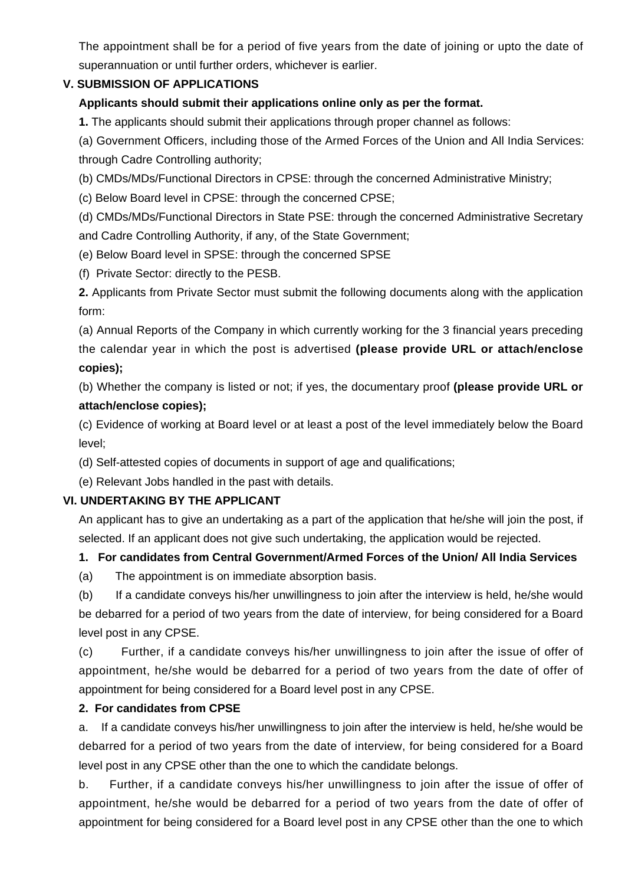The appointment shall be for a period of five years from the date of joining or upto the date of superannuation or until further orders, whichever is earlier.

### **V. SUBMISSION OF APPLICATIONS**

### **Applicants should submit their applications online only as per the format.**

**1.** The applicants should submit their applications through proper channel as follows:

(a) Government Officers, including those of the Armed Forces of the Union and All India Services: through Cadre Controlling authority;

(b) CMDs/MDs/Functional Directors in CPSE: through the concerned Administrative Ministry;

(c) Below Board level in CPSE: through the concerned CPSE;

(d) CMDs/MDs/Functional Directors in State PSE: through the concerned Administrative Secretary and Cadre Controlling Authority, if any, of the State Government;

(e) Below Board level in SPSE: through the concerned SPSE

(f) Private Sector: directly to the PESB.

**2.** Applicants from Private Sector must submit the following documents along with the application form:

(a) Annual Reports of the Company in which currently working for the 3 financial years preceding the calendar year in which the post is advertised **(please provide URL or attach/enclose copies);**

(b) Whether the company is listed or not; if yes, the documentary proof **(please provide URL or attach/enclose copies);**

(c) Evidence of working at Board level or at least a post of the level immediately below the Board level;

(d) Self-attested copies of documents in support of age and qualifications;

(e) Relevant Jobs handled in the past with details.

### **VI. UNDERTAKING BY THE APPLICANT**

An applicant has to give an undertaking as a part of the application that he/she will join the post, if selected. If an applicant does not give such undertaking, the application would be rejected.

### **1. For candidates from Central Government/Armed Forces of the Union/ All India Services**

(a) The appointment is on immediate absorption basis.

(b) If a candidate conveys his/her unwillingness to join after the interview is held, he/she would be debarred for a period of two years from the date of interview, for being considered for a Board level post in any CPSE.

(c) Further, if a candidate conveys his/her unwillingness to join after the issue of offer of appointment, he/she would be debarred for a period of two years from the date of offer of appointment for being considered for a Board level post in any CPSE.

### **2. For candidates from CPSE**

a. If a candidate conveys his/her unwillingness to join after the interview is held, he/she would be debarred for a period of two years from the date of interview, for being considered for a Board level post in any CPSE other than the one to which the candidate belongs.

b. Further, if a candidate conveys his/her unwillingness to join after the issue of offer of appointment, he/she would be debarred for a period of two years from the date of offer of appointment for being considered for a Board level post in any CPSE other than the one to which